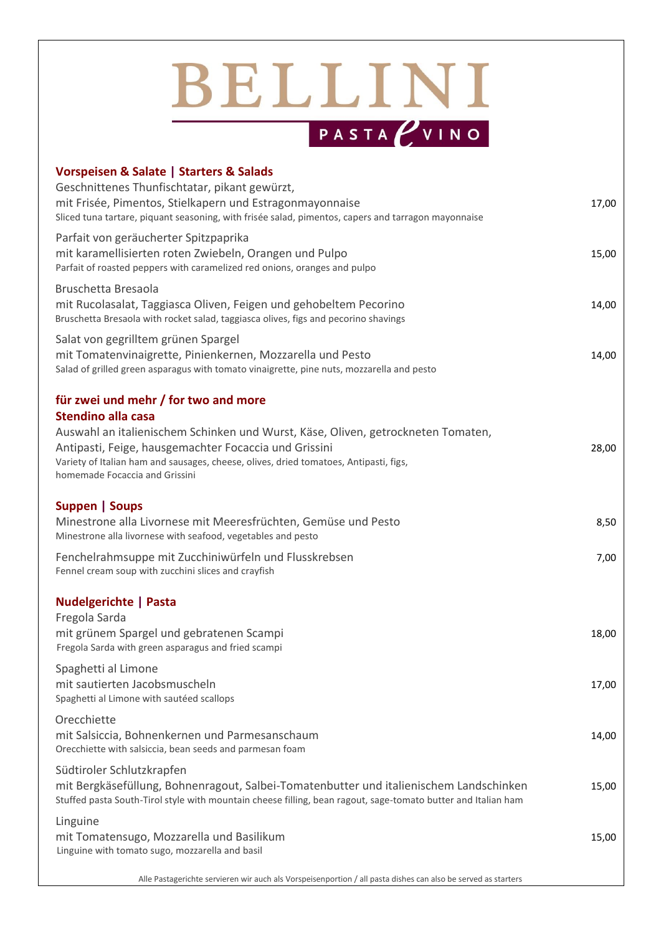## BELLINI PASTA *U*VINO

| Vorspeisen & Salate   Starters & Salads<br>Geschnittenes Thunfischtatar, pikant gewürzt,<br>mit Frisée, Pimentos, Stielkapern und Estragonmayonnaise<br>Sliced tuna tartare, piquant seasoning, with frisée salad, pimentos, capers and tarragon mayonnaise          | 17,00 |
|----------------------------------------------------------------------------------------------------------------------------------------------------------------------------------------------------------------------------------------------------------------------|-------|
| Parfait von geräucherter Spitzpaprika<br>mit karamellisierten roten Zwiebeln, Orangen und Pulpo<br>Parfait of roasted peppers with caramelized red onions, oranges and pulpo                                                                                         | 15,00 |
| Bruschetta Bresaola<br>mit Rucolasalat, Taggiasca Oliven, Feigen und gehobeltem Pecorino<br>Bruschetta Bresaola with rocket salad, taggiasca olives, figs and pecorino shavings                                                                                      | 14,00 |
| Salat von gegrilltem grünen Spargel<br>mit Tomatenvinaigrette, Pinienkernen, Mozzarella und Pesto<br>Salad of grilled green asparagus with tomato vinaigrette, pine nuts, mozzarella and pesto                                                                       | 14,00 |
| für zwei und mehr / for two and more<br>Stendino alla casa                                                                                                                                                                                                           |       |
| Auswahl an italienischem Schinken und Wurst, Käse, Oliven, getrockneten Tomaten,<br>Antipasti, Feige, hausgemachter Focaccia und Grissini<br>Variety of Italian ham and sausages, cheese, olives, dried tomatoes, Antipasti, figs,<br>homemade Focaccia and Grissini | 28,00 |
| Suppen   Soups<br>Minestrone alla Livornese mit Meeresfrüchten, Gemüse und Pesto<br>Minestrone alla livornese with seafood, vegetables and pesto                                                                                                                     | 8,50  |
| Fenchelrahmsuppe mit Zucchiniwürfeln und Flusskrebsen<br>Fennel cream soup with zucchini slices and crayfish                                                                                                                                                         | 7,00  |
| <b>Nudelgerichte   Pasta</b><br>Fregola Sarda<br>mit grünem Spargel und gebratenen Scampi<br>Fregola Sarda with green asparagus and fried scampi                                                                                                                     | 18,00 |
| Spaghetti al Limone<br>mit sautierten Jacobsmuscheln<br>Spaghetti al Limone with sautéed scallops                                                                                                                                                                    | 17,00 |
| Orecchiette<br>mit Salsiccia, Bohnenkernen und Parmesanschaum<br>Orecchiette with salsiccia, bean seeds and parmesan foam                                                                                                                                            | 14,00 |
| Südtiroler Schlutzkrapfen<br>mit Bergkäsefüllung, Bohnenragout, Salbei-Tomatenbutter und italienischem Landschinken<br>Stuffed pasta South-Tirol style with mountain cheese filling, bean ragout, sage-tomato butter and Italian ham                                 | 15,00 |
| Linguine<br>mit Tomatensugo, Mozzarella und Basilikum<br>Linguine with tomato sugo, mozzarella and basil                                                                                                                                                             | 15,00 |
|                                                                                                                                                                                                                                                                      |       |